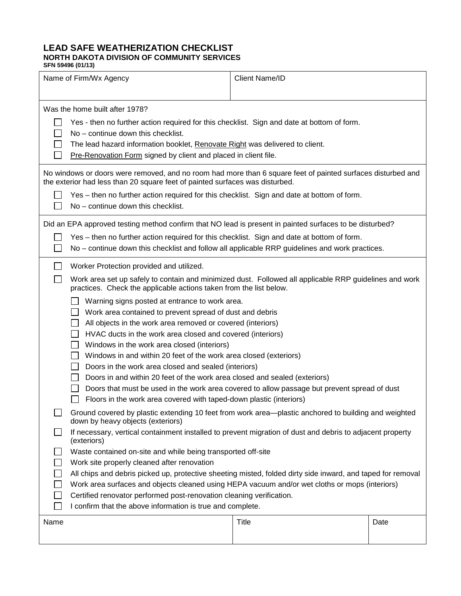## **LEAD SAFE WEATHERIZATION CHECKLIST NORTH DAKOTA DIVISION OF COMMUNITY SERVICES SFN 59496 (01/13)**

| Name of Firm/Wx Agency |                                                                                                                                                                                                                                                                                                                                                                                                                                                                                                                                                                                                                                                                                                                                                                                                                                                                                                      | <b>Client Name/ID</b> |      |  |
|------------------------|------------------------------------------------------------------------------------------------------------------------------------------------------------------------------------------------------------------------------------------------------------------------------------------------------------------------------------------------------------------------------------------------------------------------------------------------------------------------------------------------------------------------------------------------------------------------------------------------------------------------------------------------------------------------------------------------------------------------------------------------------------------------------------------------------------------------------------------------------------------------------------------------------|-----------------------|------|--|
|                        | Was the home built after 1978?<br>Yes - then no further action required for this checklist. Sign and date at bottom of form.<br>No - continue down this checklist.<br>The lead hazard information booklet, Renovate Right was delivered to client.<br>Pre-Renovation Form signed by client and placed in client file.                                                                                                                                                                                                                                                                                                                                                                                                                                                                                                                                                                                |                       |      |  |
|                        | No windows or doors were removed, and no room had more than 6 square feet of painted surfaces disturbed and<br>the exterior had less than 20 square feet of painted surfaces was disturbed.<br>Yes – then no further action required for this checklist. Sign and date at bottom of form.<br>No - continue down this checklist.                                                                                                                                                                                                                                                                                                                                                                                                                                                                                                                                                                      |                       |      |  |
|                        | Did an EPA approved testing method confirm that NO lead is present in painted surfaces to be disturbed?<br>Yes – then no further action required for this checklist. Sign and date at bottom of form.<br>No – continue down this checklist and follow all applicable RRP guidelines and work practices.                                                                                                                                                                                                                                                                                                                                                                                                                                                                                                                                                                                              |                       |      |  |
|                        | Worker Protection provided and utilized.<br>Work area set up safely to contain and minimized dust. Followed all applicable RRP guidelines and work<br>practices. Check the applicable actions taken from the list below.<br>Warning signs posted at entrance to work area.<br>Work area contained to prevent spread of dust and debris<br>All objects in the work area removed or covered (interiors)<br>HVAC ducts in the work area closed and covered (interiors)<br>Windows in the work area closed (interiors)<br>Windows in and within 20 feet of the work area closed (exteriors)<br>Doors in the work area closed and sealed (interiors)<br>Doors in and within 20 feet of the work area closed and sealed (exteriors)<br>Doors that must be used in the work area covered to allow passage but prevent spread of dust<br>Floors in the work area covered with taped-down plastic (interiors) |                       |      |  |
| $\mathbb{R}^n$         | Ground covered by plastic extending 10 feet from work area-plastic anchored to building and weighted<br>down by heavy objects (exteriors)<br>If necessary, vertical containment installed to prevent migration of dust and debris to adjacent property<br>(exteriors)<br>Waste contained on-site and while being transported off-site<br>Work site properly cleaned after renovation<br>All chips and debris picked up, protective sheeting misted, folded dirty side inward, and taped for removal<br>Work area surfaces and objects cleaned using HEPA vacuum and/or wet cloths or mops (interiors)<br>Certified renovator performed post-renovation cleaning verification.<br>I confirm that the above information is true and complete.                                                                                                                                                          |                       |      |  |
| Name                   |                                                                                                                                                                                                                                                                                                                                                                                                                                                                                                                                                                                                                                                                                                                                                                                                                                                                                                      | Title                 | Date |  |